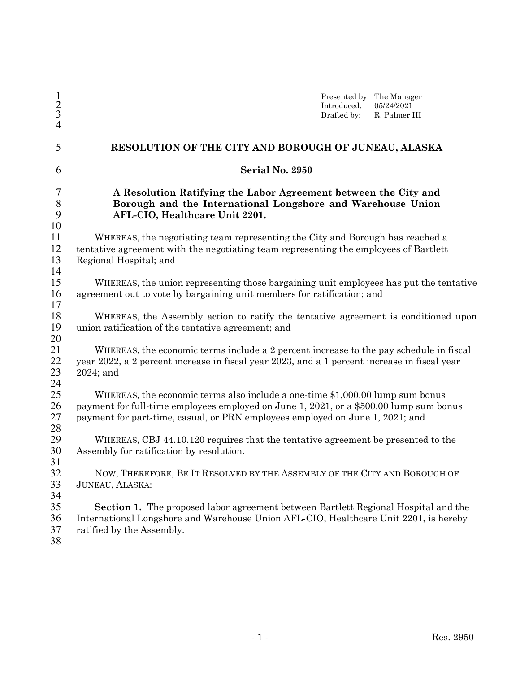| $\frac{1}{2}$<br>4                     | Presented by: The Manager<br>Introduced:<br>05/24/2021<br>Drafted by:<br>R. Palmer III                                                                                                                                                                   |  |  |
|----------------------------------------|----------------------------------------------------------------------------------------------------------------------------------------------------------------------------------------------------------------------------------------------------------|--|--|
| 5                                      | RESOLUTION OF THE CITY AND BOROUGH OF JUNEAU, ALASKA                                                                                                                                                                                                     |  |  |
| 6                                      | Serial No. 2950                                                                                                                                                                                                                                          |  |  |
| $\overline{7}$<br>$\,$ $\,$<br>9<br>10 | A Resolution Ratifying the Labor Agreement between the City and<br>Borough and the International Longshore and Warehouse Union<br>AFL-CIO, Healthcare Unit 2201.                                                                                         |  |  |
| 11<br>12<br>13<br>14                   | WHEREAS, the negotiating team representing the City and Borough has reached a<br>tentative agreement with the negotiating team representing the employees of Bartlett<br>Regional Hospital; and                                                          |  |  |
| 15<br>16<br>17                         | WHEREAS, the union representing those bargaining unit employees has put the tentative<br>agreement out to vote by bargaining unit members for ratification; and                                                                                          |  |  |
| 18<br>19<br>20                         | WHEREAS, the Assembly action to ratify the tentative agreement is conditioned upon<br>union ratification of the tentative agreement; and                                                                                                                 |  |  |
| 21<br>22<br>23<br>24                   | WHEREAS, the economic terms include a 2 percent increase to the pay schedule in fiscal<br>year 2022, a 2 percent increase in fiscal year 2023, and a 1 percent increase in fiscal year<br>$2024$ ; and                                                   |  |  |
| 25<br>26<br>27<br>28                   | WHEREAS, the economic terms also include a one-time \$1,000.00 lump sum bonus<br>payment for full-time employees employed on June 1, 2021, or a \$500.00 lump sum bonus<br>payment for part-time, casual, or PRN employees employed on June 1, 2021; and |  |  |
| 29<br>30<br>31                         | WHEREAS, CBJ 44.10.120 requires that the tentative agreement be presented to the<br>Assembly for ratification by resolution.                                                                                                                             |  |  |
| 32<br>33<br>34                         | NOW, THEREFORE, BE IT RESOLVED BY THE ASSEMBLY OF THE CITY AND BOROUGH OF<br>JUNEAU, ALASKA:                                                                                                                                                             |  |  |
| 35<br>36<br>37<br>38                   | Section 1. The proposed labor agreement between Bartlett Regional Hospital and the<br>International Longshore and Warehouse Union AFL-CIO, Healthcare Unit 2201, is hereby<br>ratified by the Assembly.                                                  |  |  |